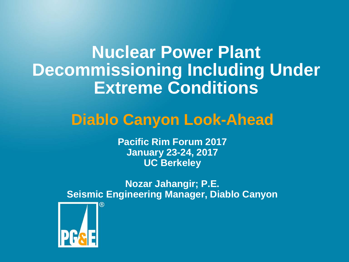**Nuclear Power Plant Decommissioning Including Under Extreme Conditions**

### **Diablo Canyon Look-Ahead**

**Pacific Rim Forum 2017 January 23-24, 2017 UC Berkeley**

**Nozar Jahangir; P.E. Seismic Engineering Manager, Diablo Canyon**

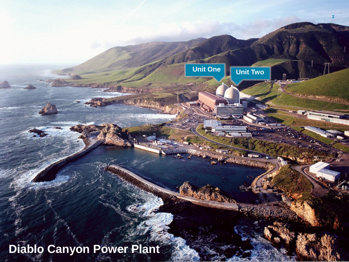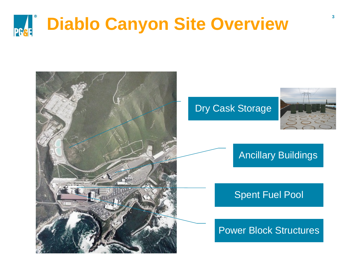



#### Ancillary Buildings

#### Spent Fuel Pool

#### Power Block Structures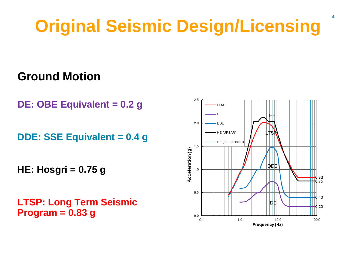# **Original Seismic Design/Licensing**

### **Ground Motion**

**DE: OBE Equivalent = 0.2 g** 

**DDE: SSE Equivalent = 0.4 g**

**HE: Hosgri = 0.75 g** 

**LTSP: Long Term Seismic Program = 0.83 g**



**4**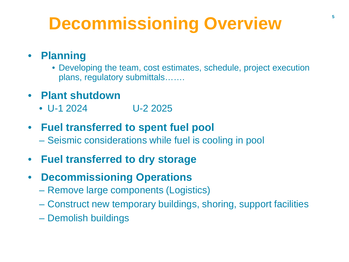# **Decommissioning Overview**

### • **Planning**

- Developing the team, cost estimates, schedule, project execution plans, regulatory submittals…….
- **Plant shutdown**
	- U-1 2024 U-2 2025
- **Fuel transferred to spent fuel pool**
	- Seismic considerations while fuel is cooling in pool
- **Fuel transferred to dry storage**
- **Decommissioning Operations**
	- Remove large components (Logistics)
	- Construct new temporary buildings, shoring, support facilities
	- Demolish buildings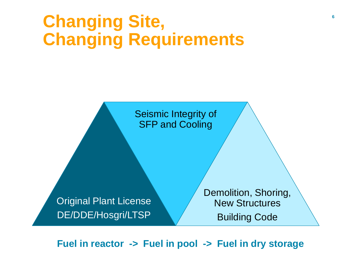## **Changing Site, Changing Requirements**

Seismic Integrity of SFP and Cooling

Original Plant License DE/DDE/Hosgri/LTSP

Demolition, Shoring, New Structures Building Code

**Fuel in reactor -> Fuel in pool -> Fuel in dry storage**